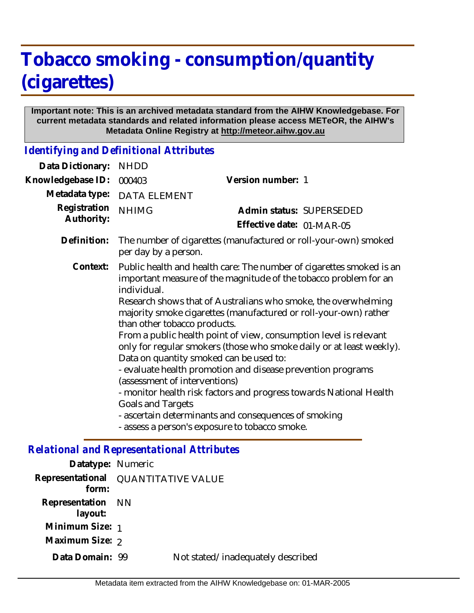# **Tobacco smoking - consumption/quantity (cigarettes)**

#### **Important note: This is an archived metadata standard from the AIHW Knowledgebase. For current metadata standards and related information please access METeOR, the AIHW's Metadata Online Registry at http://meteor.aihw.gov.au**

*Identifying and Definitional Attributes*

| Data Dictionary:           | <b>NHDD</b>                                                                                                                                                                                                                                                                                                                                                                                                                                                                                                                                                                                                                                                                                                                                                                                                                       |                           |  |  |
|----------------------------|-----------------------------------------------------------------------------------------------------------------------------------------------------------------------------------------------------------------------------------------------------------------------------------------------------------------------------------------------------------------------------------------------------------------------------------------------------------------------------------------------------------------------------------------------------------------------------------------------------------------------------------------------------------------------------------------------------------------------------------------------------------------------------------------------------------------------------------|---------------------------|--|--|
| Knowledgebase ID:          | 000403                                                                                                                                                                                                                                                                                                                                                                                                                                                                                                                                                                                                                                                                                                                                                                                                                            | Version number: 1         |  |  |
| Metadata type:             | <b>DATA ELEMENT</b>                                                                                                                                                                                                                                                                                                                                                                                                                                                                                                                                                                                                                                                                                                                                                                                                               |                           |  |  |
| Registration<br>Authority: | <b>NHIMG</b>                                                                                                                                                                                                                                                                                                                                                                                                                                                                                                                                                                                                                                                                                                                                                                                                                      | Admin status: SUPERSEDED  |  |  |
|                            |                                                                                                                                                                                                                                                                                                                                                                                                                                                                                                                                                                                                                                                                                                                                                                                                                                   | Effective date: 01-MAR-05 |  |  |
| Definition:                | The number of cigarettes (manufactured or roll-your-own) smoked<br>per day by a person.                                                                                                                                                                                                                                                                                                                                                                                                                                                                                                                                                                                                                                                                                                                                           |                           |  |  |
| Context:                   | Public health and health care: The number of cigarettes smoked is an<br>important measure of the magnitude of the tobacco problem for an<br>individual.<br>Research shows that of Australians who smoke, the overwhelming<br>majority smoke cigarettes (manufactured or roll-your-own) rather<br>than other tobacco products.<br>From a public health point of view, consumption level is relevant<br>only for regular smokers (those who smoke daily or at least weekly).<br>Data on quantity smoked can be used to:<br>- evaluate health promotion and disease prevention programs<br>(assessment of interventions)<br>- monitor health risk factors and progress towards National Health<br><b>Goals and Targets</b><br>- ascertain determinants and consequences of smoking<br>- assess a person's exposure to tobacco smoke. |                           |  |  |

## *Relational and Representational Attributes*

| Datatype: Numeric                            |                                   |
|----------------------------------------------|-----------------------------------|
| Representational QUANTITATIVE VALUE<br>form: |                                   |
| Representation NN<br>layout:                 |                                   |
| Minimum Size: 1                              |                                   |
| Maximum Size: 2                              |                                   |
| Data Domain: 99                              | Not stated/inadequately described |